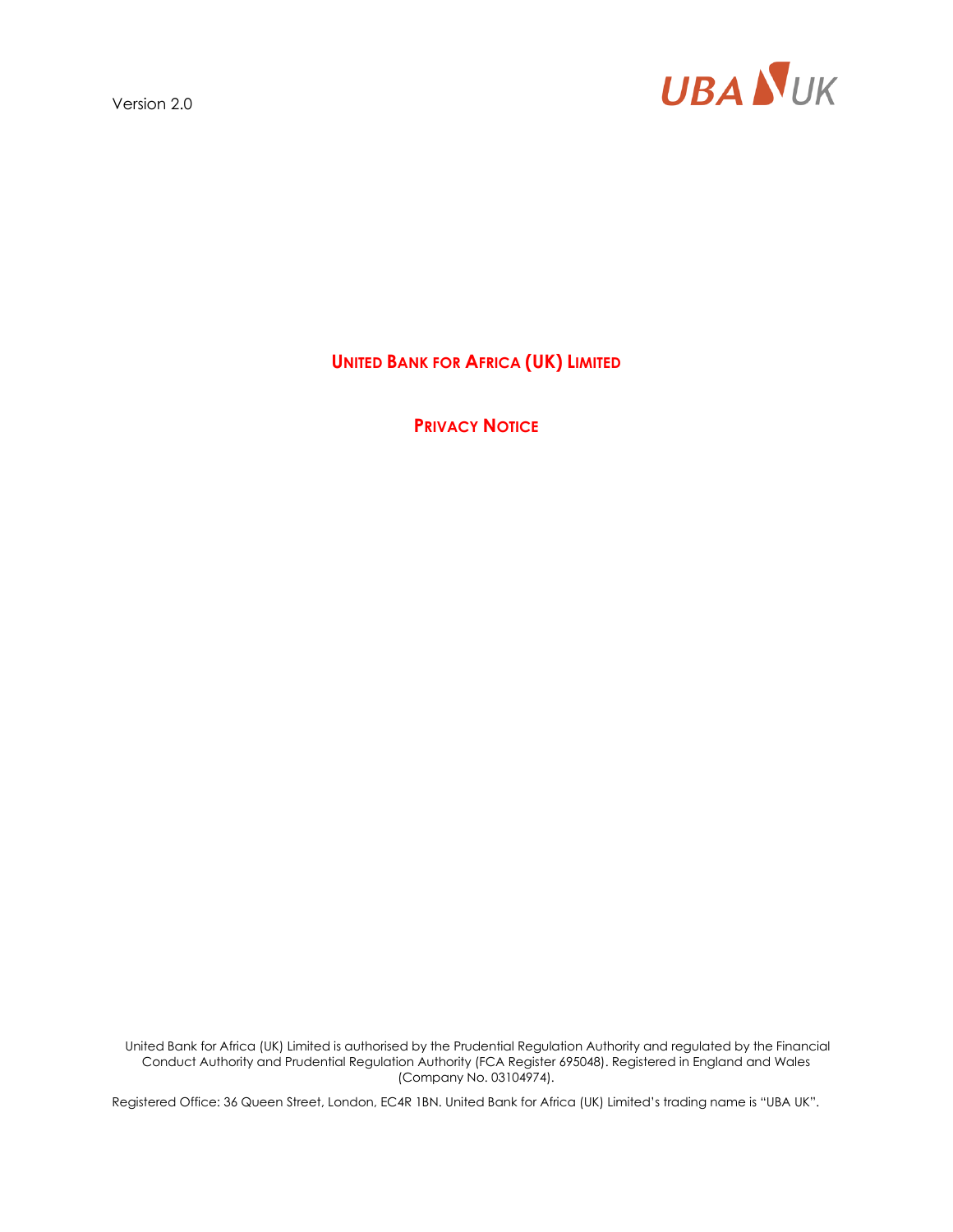

**UNITED BANK FOR AFRICA (UK) LIMITED**

**PRIVACY NOTICE**

United Bank for Africa (UK) Limited is authorised by the Prudential Regulation Authority and regulated by the Financial Conduct Authority and Prudential Regulation Authority (FCA Register 695048). Registered in England and Wales (Company No. 03104974).

Registered Office: 36 Queen Street, London, EC4R 1BN. United Bank for Africa (UK) Limited's trading name is "UBA UK".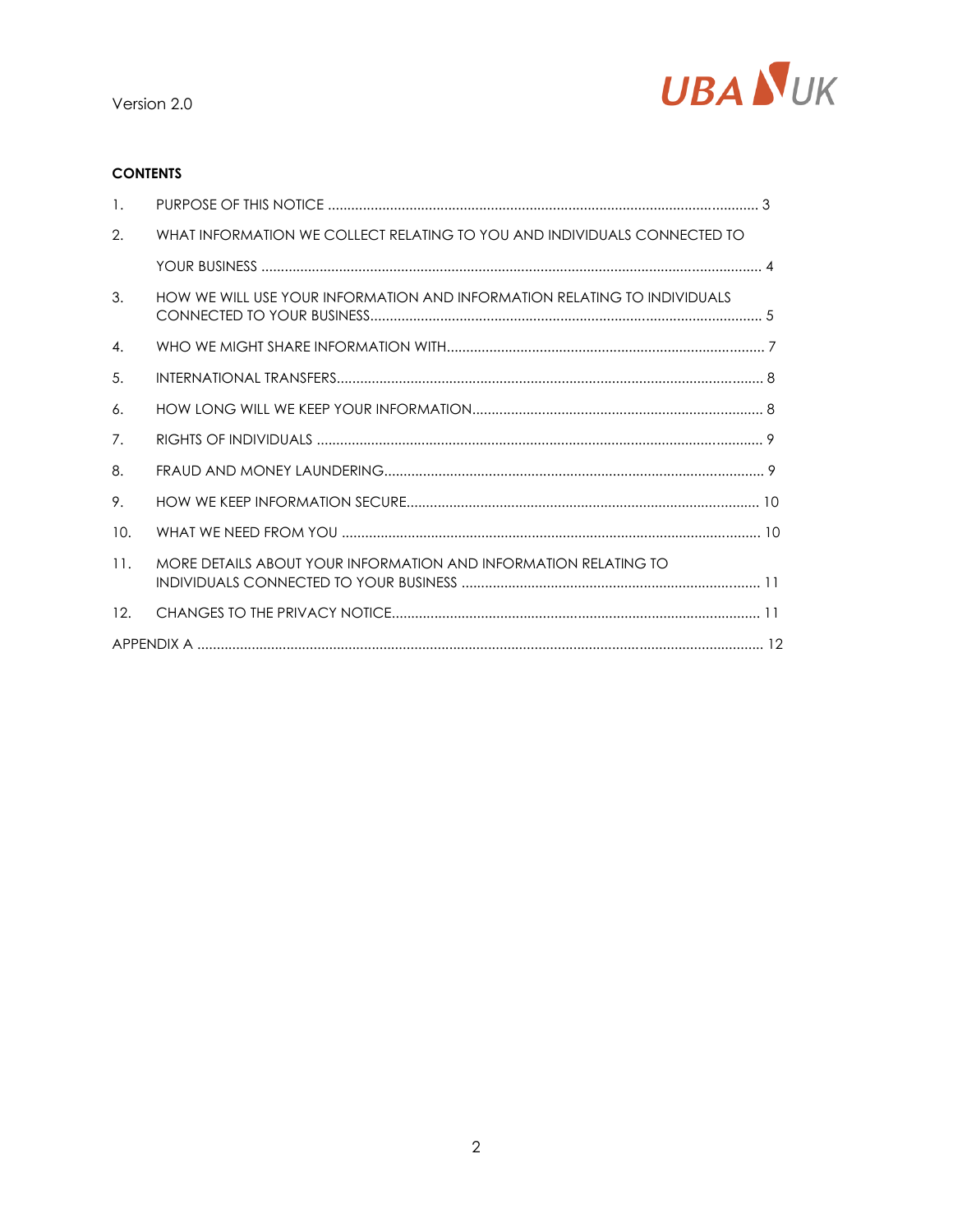

# **CONTENTS**

| $\overline{1}$ . |                                                                          |  |
|------------------|--------------------------------------------------------------------------|--|
| 2.               | WHAT INFORMATION WE COLLECT RELATING TO YOU AND INDIVIDUALS CONNECTED TO |  |
|                  |                                                                          |  |
| 3.               | HOW WE WILL USE YOUR INFORMATION AND INFORMATION RELATING TO INDIVIDUALS |  |
| 4.               |                                                                          |  |
| 5.               |                                                                          |  |
| 6.               |                                                                          |  |
| 7.               |                                                                          |  |
| 8.               |                                                                          |  |
| 9.               |                                                                          |  |
| 10.              |                                                                          |  |
| 11.              | MORE DETAILS ABOUT YOUR INFORMATION AND INFORMATION RELATING TO          |  |
| 12 <sub>1</sub>  |                                                                          |  |
|                  |                                                                          |  |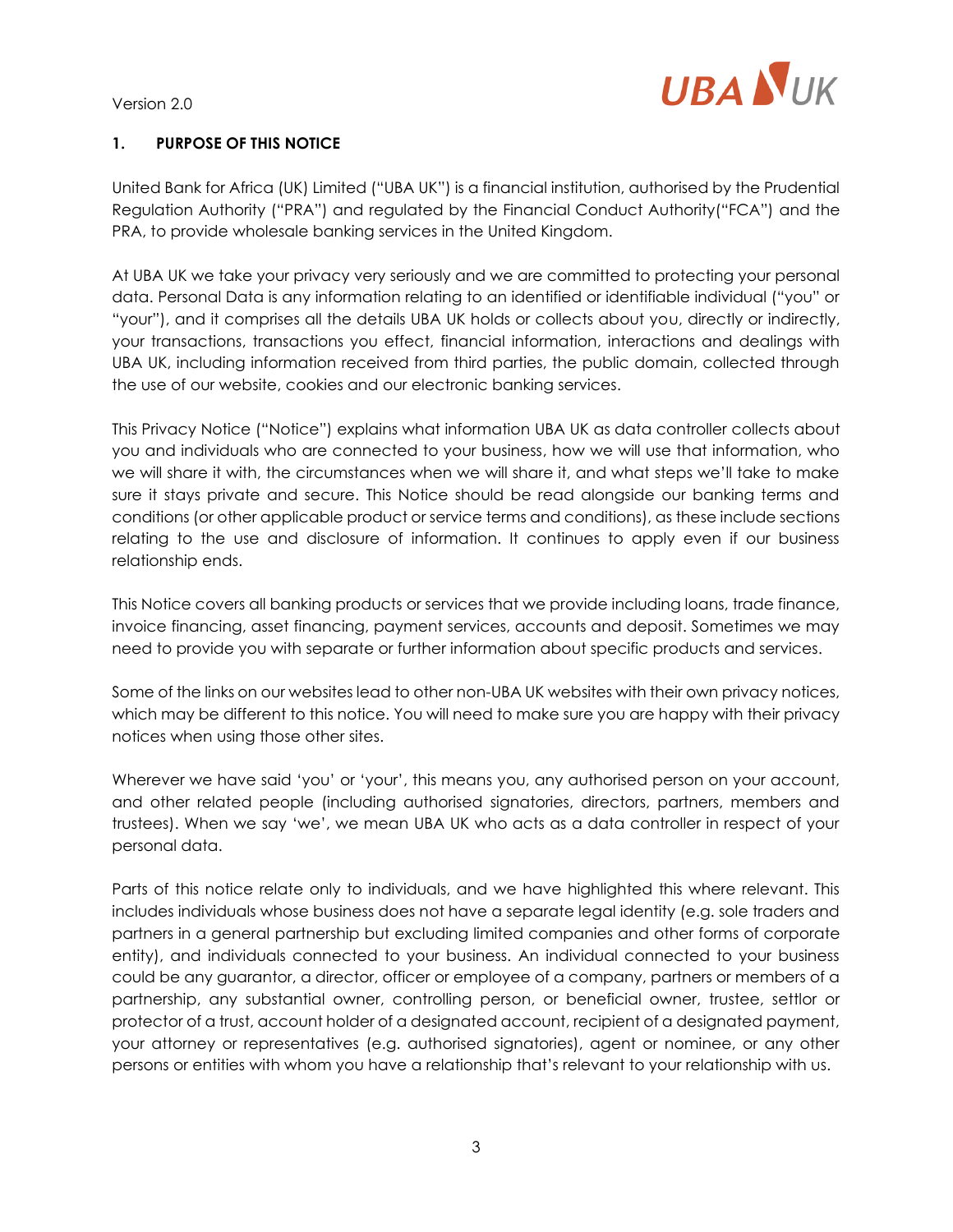

### **1. PURPOSE OF THIS NOTICE**

United Bank for Africa (UK) Limited ("UBA UK") is a financial institution, authorised by the Prudential Regulation Authority ("PRA") and regulated by the Financial Conduct Authority("FCA") and the PRA, to provide wholesale banking services in the United Kingdom.

At UBA UK we take your privacy very seriously and we are committed to protecting your personal data. Personal Data is any information relating to an identified or identifiable individual ("you" or "your"), and it comprises all the details UBA UK holds or collects about you, directly or indirectly, your transactions, transactions you effect, financial information, interactions and dealings with UBA UK, including information received from third parties, the public domain, collected through the use of our website, cookies and our electronic banking services.

This Privacy Notice ("Notice") explains what information UBA UK as data controller collects about you and individuals who are connected to your business, how we will use that information, who we will share it with, the circumstances when we will share it, and what steps we'll take to make sure it stays private and secure. This Notice should be read alongside our banking terms and conditions (or other applicable product or service terms and conditions), as these include sections relating to the use and disclosure of information. It continues to apply even if our business relationship ends.

This Notice covers all banking products or services that we provide including loans, trade finance, invoice financing, asset financing, payment services, accounts and deposit. Sometimes we may need to provide you with separate or further information about specific products and services.

Some of the links on our websites lead to other non-UBA UK websites with their own privacy notices, which may be different to this notice. You will need to make sure you are happy with their privacy notices when using those other sites.

Wherever we have said 'you' or 'your', this means you, any authorised person on your account, and other related people (including authorised signatories, directors, partners, members and trustees). When we say 'we', we mean UBA UK who acts as a data controller in respect of your personal data.

Parts of this notice relate only to individuals, and we have highlighted this where relevant. This includes individuals whose business does not have a separate legal identity (e.g. sole traders and partners in a general partnership but excluding limited companies and other forms of corporate entity), and individuals connected to your business. An individual connected to your business could be any guarantor, a director, officer or employee of a company, partners or members of a partnership, any substantial owner, controlling person, or beneficial owner, trustee, settlor or protector of a trust, account holder of a designated account, recipient of a designated payment, your attorney or representatives (e.g. authorised signatories), agent or nominee, or any other persons or entities with whom you have a relationship that's relevant to your relationship with us.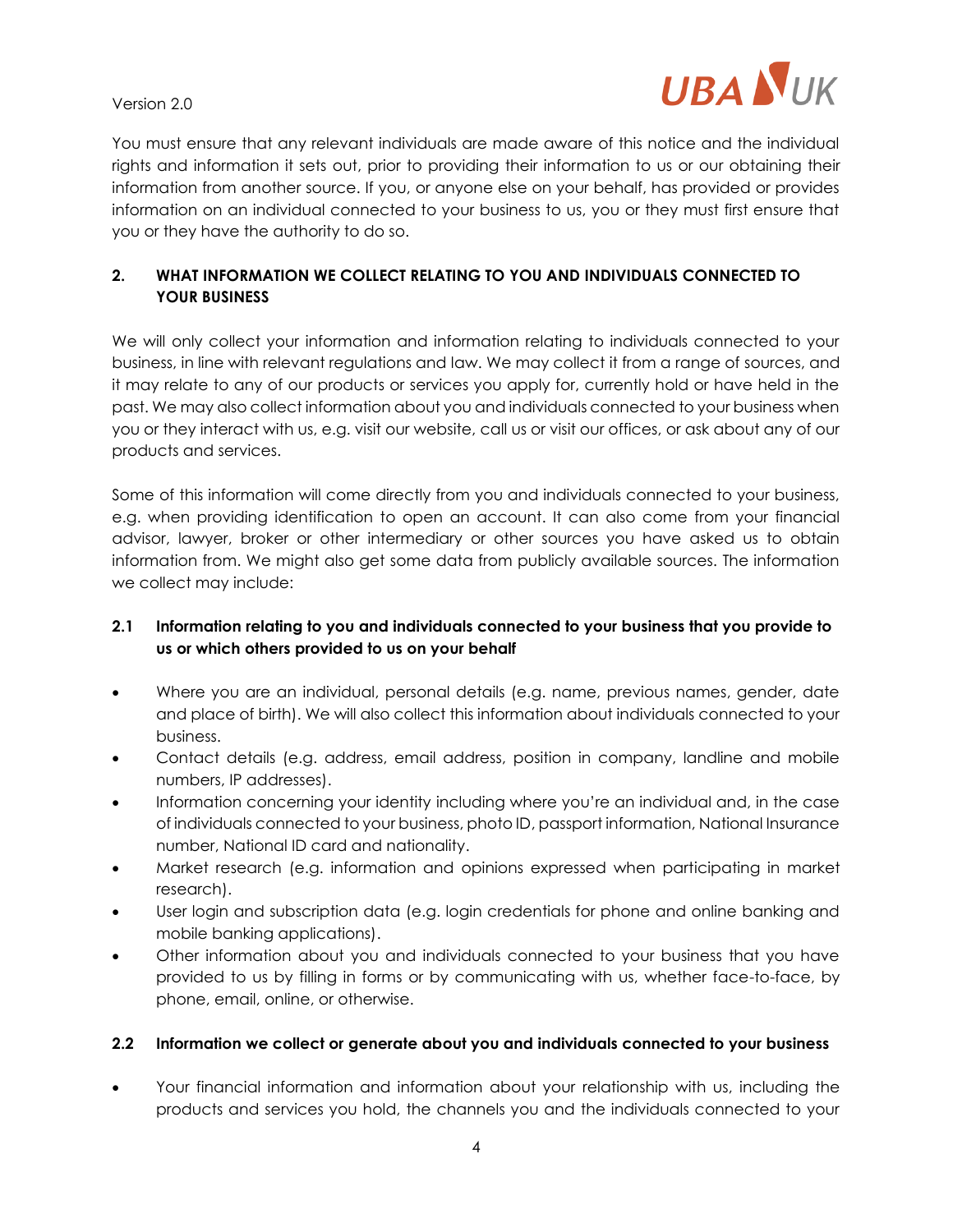

You must ensure that any relevant individuals are made aware of this notice and the individual rights and information it sets out, prior to providing their information to us or our obtaining their information from another source. If you, or anyone else on your behalf, has provided or provides information on an individual connected to your business to us, you or they must first ensure that you or they have the authority to do so.

# **2. WHAT INFORMATION WE COLLECT RELATING TO YOU AND INDIVIDUALS CONNECTED TO YOUR BUSINESS**

We will only collect your information and information relating to individuals connected to your business, in line with relevant regulations and law. We may collect it from a range of sources, and it may relate to any of our products or services you apply for, currently hold or have held in the past. We may also collect information about you and individuals connected to your business when you or they interact with us, e.g. visit our website, call us or visit our offices, or ask about any of our products and services.

Some of this information will come directly from you and individuals connected to your business, e.g. when providing identification to open an account. It can also come from your financial advisor, lawyer, broker or other intermediary or other sources you have asked us to obtain information from. We might also get some data from publicly available sources. The information we collect may include:

# **2.1 Information relating to you and individuals connected to your business that you provide to us or which others provided to us on your behalf**

- Where you are an individual, personal details (e.g. name, previous names, gender, date and place of birth). We will also collect this information about individuals connected to your business.
- Contact details (e.g. address, email address, position in company, landline and mobile numbers, IP addresses).
- Information concerning your identity including where you're an individual and, in the case of individuals connected to your business, photo ID, passport information, National Insurance number, National ID card and nationality.
- Market research (e.g. information and opinions expressed when participating in market research).
- User login and subscription data (e.g. login credentials for phone and online banking and mobile banking applications).
- Other information about you and individuals connected to your business that you have provided to us by filling in forms or by communicating with us, whether face-to-face, by phone, email, online, or otherwise.

### **2.2 Information we collect or generate about you and individuals connected to your business**

• Your financial information and information about your relationship with us, including the products and services you hold, the channels you and the individuals connected to your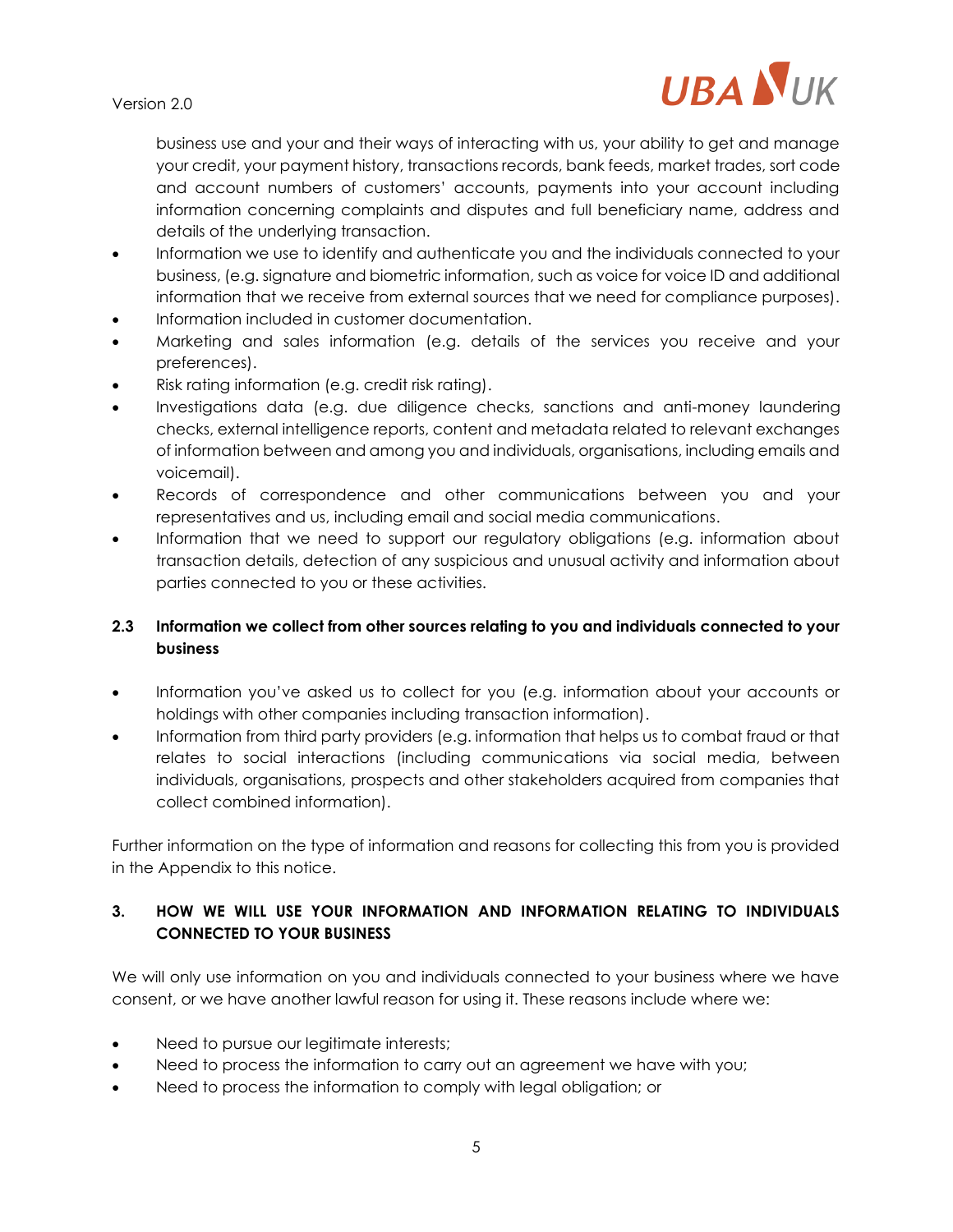

business use and your and their ways of interacting with us, your ability to get and manage your credit, your payment history, transactions records, bank feeds, market trades, sort code and account numbers of customers' accounts, payments into your account including information concerning complaints and disputes and full beneficiary name, address and details of the underlying transaction.

- Information we use to identify and authenticate you and the individuals connected to your business, (e.g. signature and biometric information, such as voice for voice ID and additional information that we receive from external sources that we need for compliance purposes).
- Information included in customer documentation.
- Marketing and sales information (e.g. details of the services you receive and your preferences).
- Risk rating information (e.g. credit risk rating).
- Investigations data (e.g. due diligence checks, sanctions and anti-money laundering checks, external intelligence reports, content and metadata related to relevant exchanges of information between and among you and individuals, organisations, including emails and voicemail).
- Records of correspondence and other communications between you and your representatives and us, including email and social media communications.
- Information that we need to support our regulatory obligations (e.g. information about transaction details, detection of any suspicious and unusual activity and information about parties connected to you or these activities.

# **2.3 Information we collect from other sources relating to you and individuals connected to your business**

- Information you've asked us to collect for you (e.g. information about your accounts or holdings with other companies including transaction information).
- Information from third party providers (e.g. information that helps us to combat fraud or that relates to social interactions (including communications via social media, between individuals, organisations, prospects and other stakeholders acquired from companies that collect combined information).

Further information on the type of information and reasons for collecting this from you is provided in the Appendix to this notice.

# **3. HOW WE WILL USE YOUR INFORMATION AND INFORMATION RELATING TO INDIVIDUALS CONNECTED TO YOUR BUSINESS**

We will only use information on you and individuals connected to your business where we have consent, or we have another lawful reason for using it. These reasons include where we:

- Need to pursue our legitimate interests;
- Need to process the information to carry out an agreement we have with you;
- Need to process the information to comply with legal obligation; or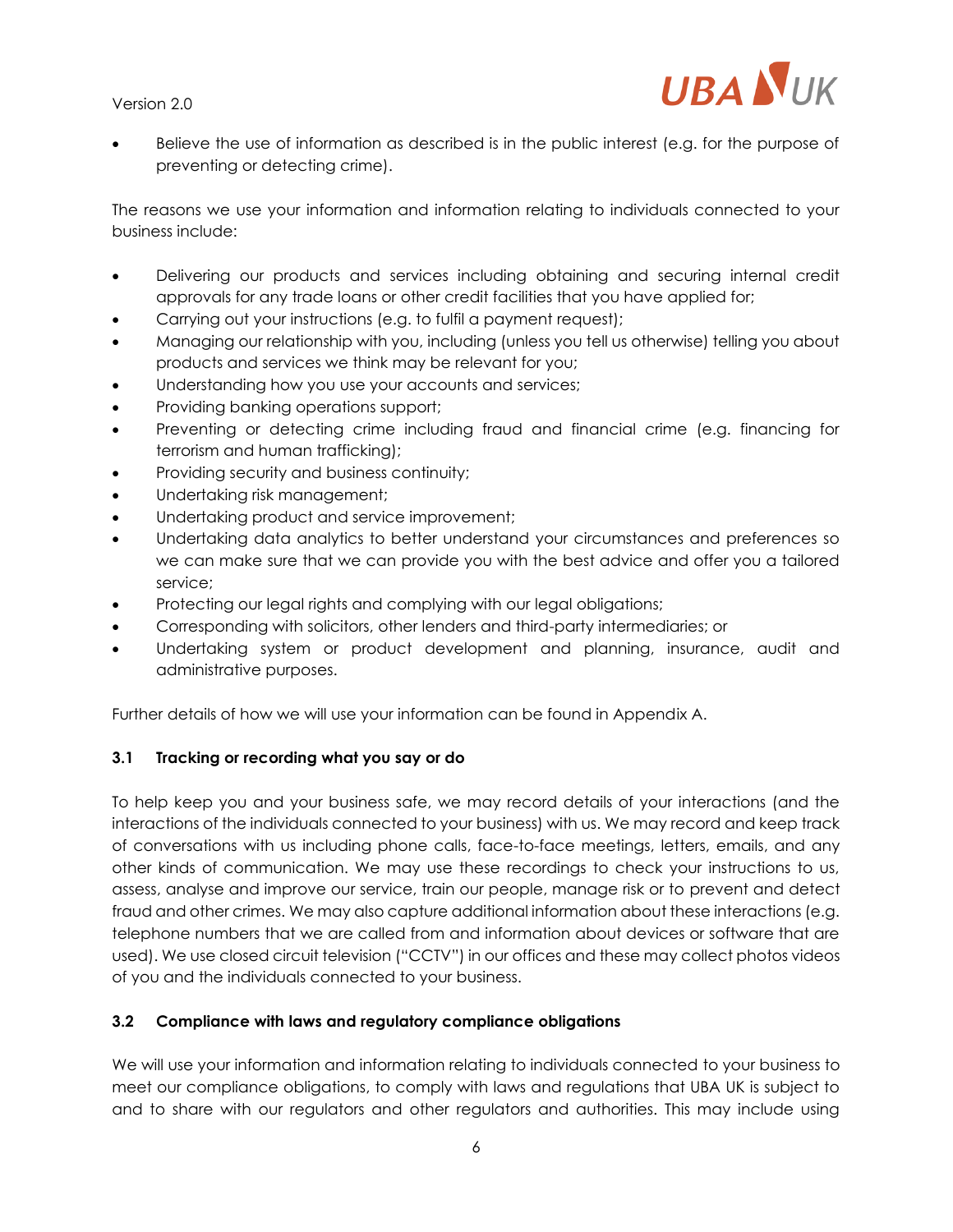

Believe the use of information as described is in the public interest (e.g. for the purpose of preventing or detecting crime).

The reasons we use your information and information relating to individuals connected to your business include:

- Delivering our products and services including obtaining and securing internal credit approvals for any trade loans or other credit facilities that you have applied for;
- Carrying out your instructions (e.g. to fulfil a payment request);
- Managing our relationship with you, including (unless you tell us otherwise) telling you about products and services we think may be relevant for you;
- Understanding how you use your accounts and services;
- Providing banking operations support;
- Preventing or detecting crime including fraud and financial crime (e.g. financing for terrorism and human trafficking);
- Providing security and business continuity;
- Undertaking risk management;
- Undertaking product and service improvement;
- Undertaking data analytics to better understand your circumstances and preferences so we can make sure that we can provide you with the best advice and offer you a tailored service;
- Protecting our legal rights and complying with our legal obligations;
- Corresponding with solicitors, other lenders and third-party intermediaries; or
- Undertaking system or product development and planning, insurance, audit and administrative purposes.

Further details of how we will use your information can be found in Appendix A.

### **3.1 Tracking or recording what you say or do**

To help keep you and your business safe, we may record details of your interactions (and the interactions of the individuals connected to your business) with us. We may record and keep track of conversations with us including phone calls, face-to-face meetings, letters, emails, and any other kinds of communication. We may use these recordings to check your instructions to us, assess, analyse and improve our service, train our people, manage risk or to prevent and detect fraud and other crimes. We may also capture additional information about these interactions (e.g. telephone numbers that we are called from and information about devices or software that are used). We use closed circuit television ("CCTV") in our offices and these may collect photos videos of you and the individuals connected to your business.

### **3.2 Compliance with laws and regulatory compliance obligations**

We will use your information and information relating to individuals connected to your business to meet our compliance obligations, to comply with laws and regulations that UBA UK is subject to and to share with our regulators and other regulators and authorities. This may include using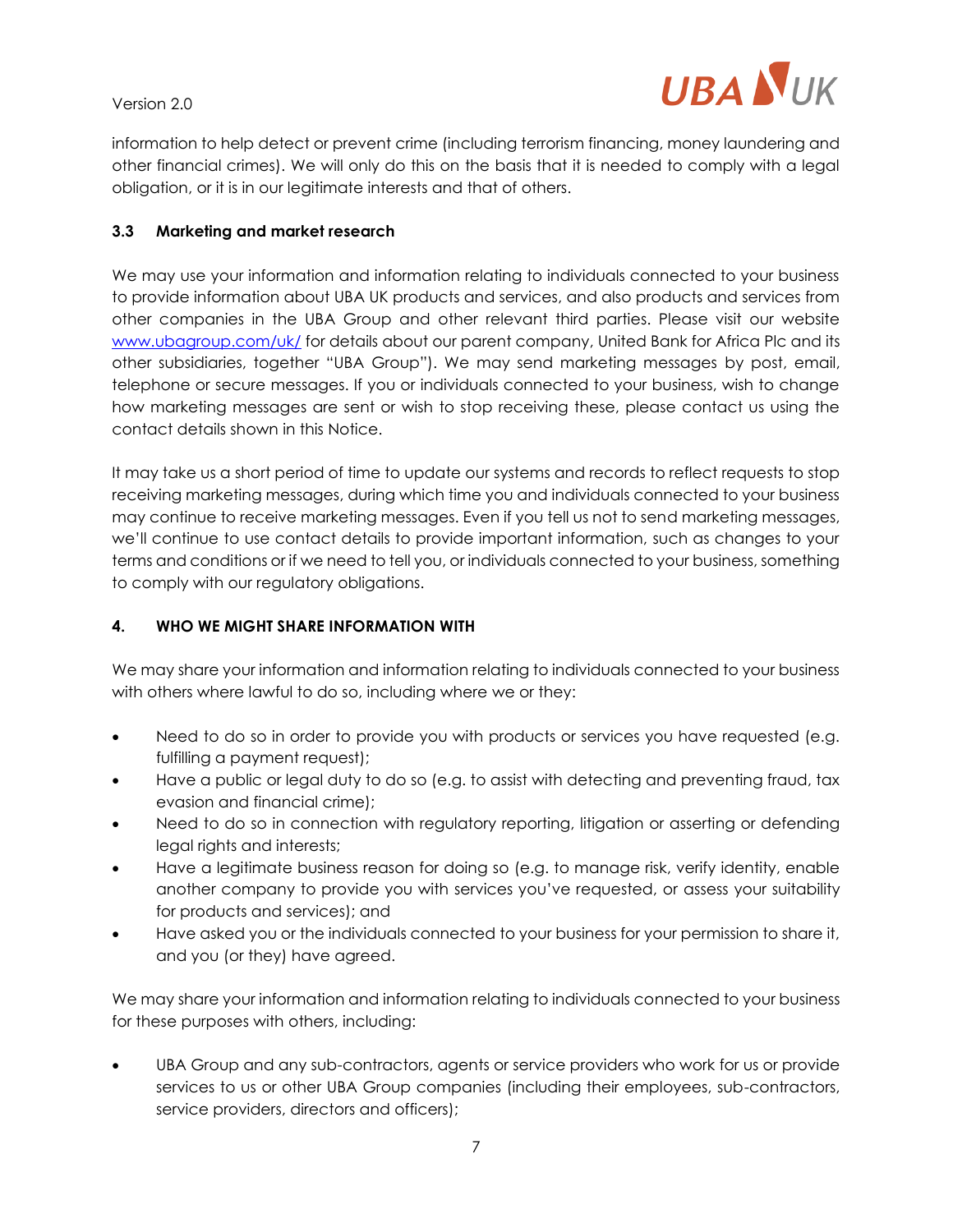

information to help detect or prevent crime (including terrorism financing, money laundering and other financial crimes). We will only do this on the basis that it is needed to comply with a legal obligation, or it is in our legitimate interests and that of others.

### **3.3 Marketing and market research**

We may use your information and information relating to individuals connected to your business to provide information about UBA UK products and services, and also products and services from other companies in the UBA Group and other relevant third parties. Please visit our website [www.ubagroup.com/uk/](http://www.ubagroup.com/uk/) for details about our parent company, United Bank for Africa Plc and its other subsidiaries, together "UBA Group"). We may send marketing messages by post, email, telephone or secure messages. If you or individuals connected to your business, wish to change how marketing messages are sent or wish to stop receiving these, please contact us using the contact details shown in this Notice.

It may take us a short period of time to update our systems and records to reflect requests to stop receiving marketing messages, during which time you and individuals connected to your business may continue to receive marketing messages. Even if you tell us not to send marketing messages, we'll continue to use contact details to provide important information, such as changes to your terms and conditions or if we need to tell you, or individuals connected to your business, something to comply with our regulatory obligations.

#### **4. WHO WE MIGHT SHARE INFORMATION WITH**

We may share your information and information relating to individuals connected to your business with others where lawful to do so, including where we or they:

- Need to do so in order to provide you with products or services you have requested (e.g. fulfilling a payment request);
- Have a public or legal duty to do so (e.g. to assist with detecting and preventing fraud, tax evasion and financial crime);
- Need to do so in connection with regulatory reporting, litigation or asserting or defending legal rights and interests;
- Have a legitimate business reason for doing so (e.g. to manage risk, verify identity, enable another company to provide you with services you've requested, or assess your suitability for products and services); and
- Have asked you or the individuals connected to your business for your permission to share it, and you (or they) have agreed.

We may share your information and information relating to individuals connected to your business for these purposes with others, including:

• UBA Group and any sub-contractors, agents or service providers who work for us or provide services to us or other UBA Group companies (including their employees, sub-contractors, service providers, directors and officers);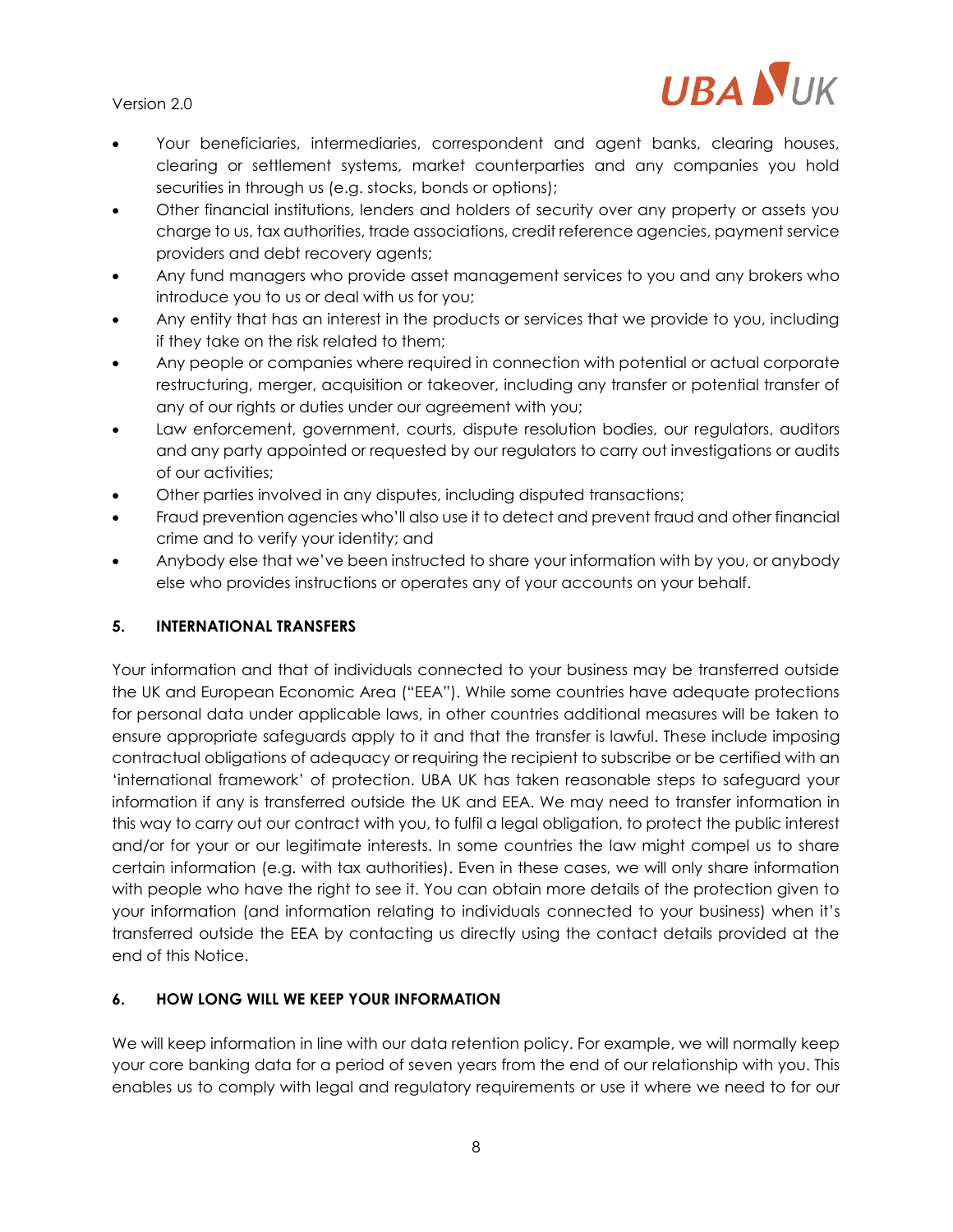

- Your beneficiaries, intermediaries, correspondent and agent banks, clearing houses, clearing or settlement systems, market counterparties and any companies you hold securities in through us (e.g. stocks, bonds or options);
- Other financial institutions, lenders and holders of security over any property or assets you charge to us, tax authorities, trade associations, credit reference agencies, payment service providers and debt recovery agents;
- Any fund managers who provide asset management services to you and any brokers who introduce you to us or deal with us for you;
- Any entity that has an interest in the products or services that we provide to you, including if they take on the risk related to them;
- Any people or companies where required in connection with potential or actual corporate restructuring, merger, acquisition or takeover, including any transfer or potential transfer of any of our rights or duties under our agreement with you;
- Law enforcement, government, courts, dispute resolution bodies, our regulators, auditors and any party appointed or requested by our regulators to carry out investigations or audits of our activities;
- Other parties involved in any disputes, including disputed transactions;
- Fraud prevention agencies who'll also use it to detect and prevent fraud and other financial crime and to verify your identity; and
- Anybody else that we've been instructed to share your information with by you, or anybody else who provides instructions or operates any of your accounts on your behalf.

### **5. INTERNATIONAL TRANSFERS**

Your information and that of individuals connected to your business may be transferred outside the UK and European Economic Area ("EEA"). While some countries have adequate protections for personal data under applicable laws, in other countries additional measures will be taken to ensure appropriate safeguards apply to it and that the transfer is lawful. These include imposing contractual obligations of adequacy or requiring the recipient to subscribe or be certified with an 'international framework' of protection. UBA UK has taken reasonable steps to safeguard your information if any is transferred outside the UK and EEA. We may need to transfer information in this way to carry out our contract with you, to fulfil a legal obligation, to protect the public interest and/or for your or our legitimate interests. In some countries the law might compel us to share certain information (e.g. with tax authorities). Even in these cases, we will only share information with people who have the right to see it. You can obtain more details of the protection given to your information (and information relating to individuals connected to your business) when it's transferred outside the EEA by contacting us directly using the contact details provided at the end of this Notice.

### **6. HOW LONG WILL WE KEEP YOUR INFORMATION**

We will keep information in line with our data retention policy. For example, we will normally keep your core banking data for a period of seven years from the end of our relationship with you. This enables us to comply with legal and regulatory requirements or use it where we need to for our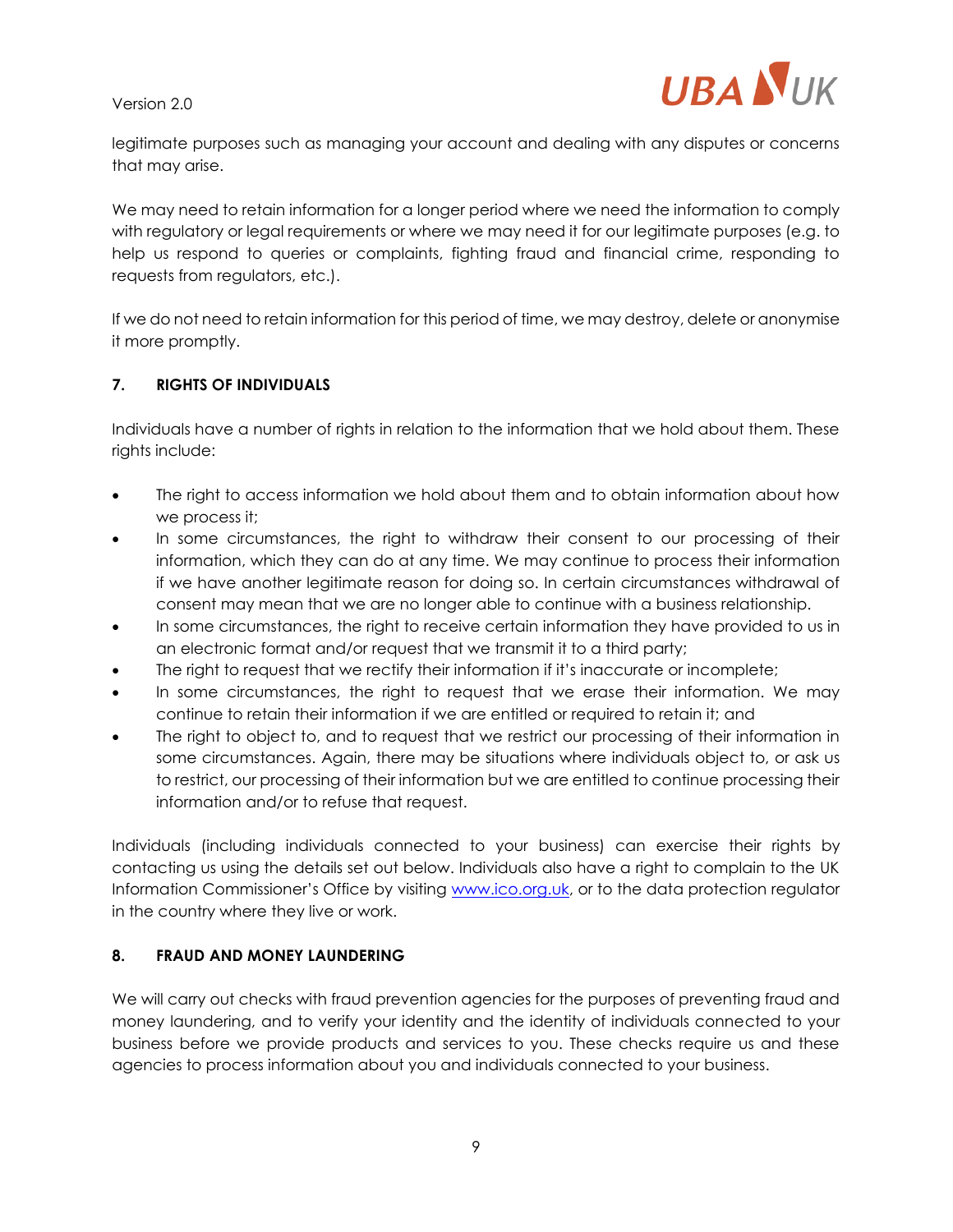

legitimate purposes such as managing your account and dealing with any disputes or concerns that may arise.

We may need to retain information for a longer period where we need the information to comply with regulatory or legal requirements or where we may need it for our legitimate purposes (e.g. to help us respond to queries or complaints, fighting fraud and financial crime, responding to requests from regulators, etc.).

If we do not need to retain information for this period of time, we may destroy, delete or anonymise it more promptly.

#### **7. RIGHTS OF INDIVIDUALS**

Individuals have a number of rights in relation to the information that we hold about them. These rights include:

- The right to access information we hold about them and to obtain information about how we process it;
- In some circumstances, the right to withdraw their consent to our processing of their information, which they can do at any time. We may continue to process their information if we have another legitimate reason for doing so. In certain circumstances withdrawal of consent may mean that we are no longer able to continue with a business relationship.
- In some circumstances, the right to receive certain information they have provided to us in an electronic format and/or request that we transmit it to a third party;
- The right to request that we rectify their information if it's inaccurate or incomplete;
- In some circumstances, the right to request that we erase their information. We may continue to retain their information if we are entitled or required to retain it; and
- The right to object to, and to request that we restrict our processing of their information in some circumstances. Again, there may be situations where individuals object to, or ask us to restrict, our processing of their information but we are entitled to continue processing their information and/or to refuse that request.

Individuals (including individuals connected to your business) can exercise their rights by contacting us using the details set out below. Individuals also have a right to complain to the UK Information Commissioner's Office by visiting [www.ico.org.uk,](http://www.ico.org.uk/) or to the data protection regulator in the country where they live or work.

#### **8. FRAUD AND MONEY LAUNDERING**

We will carry out checks with fraud prevention agencies for the purposes of preventing fraud and money laundering, and to verify your identity and the identity of individuals connected to your business before we provide products and services to you. These checks require us and these agencies to process information about you and individuals connected to your business.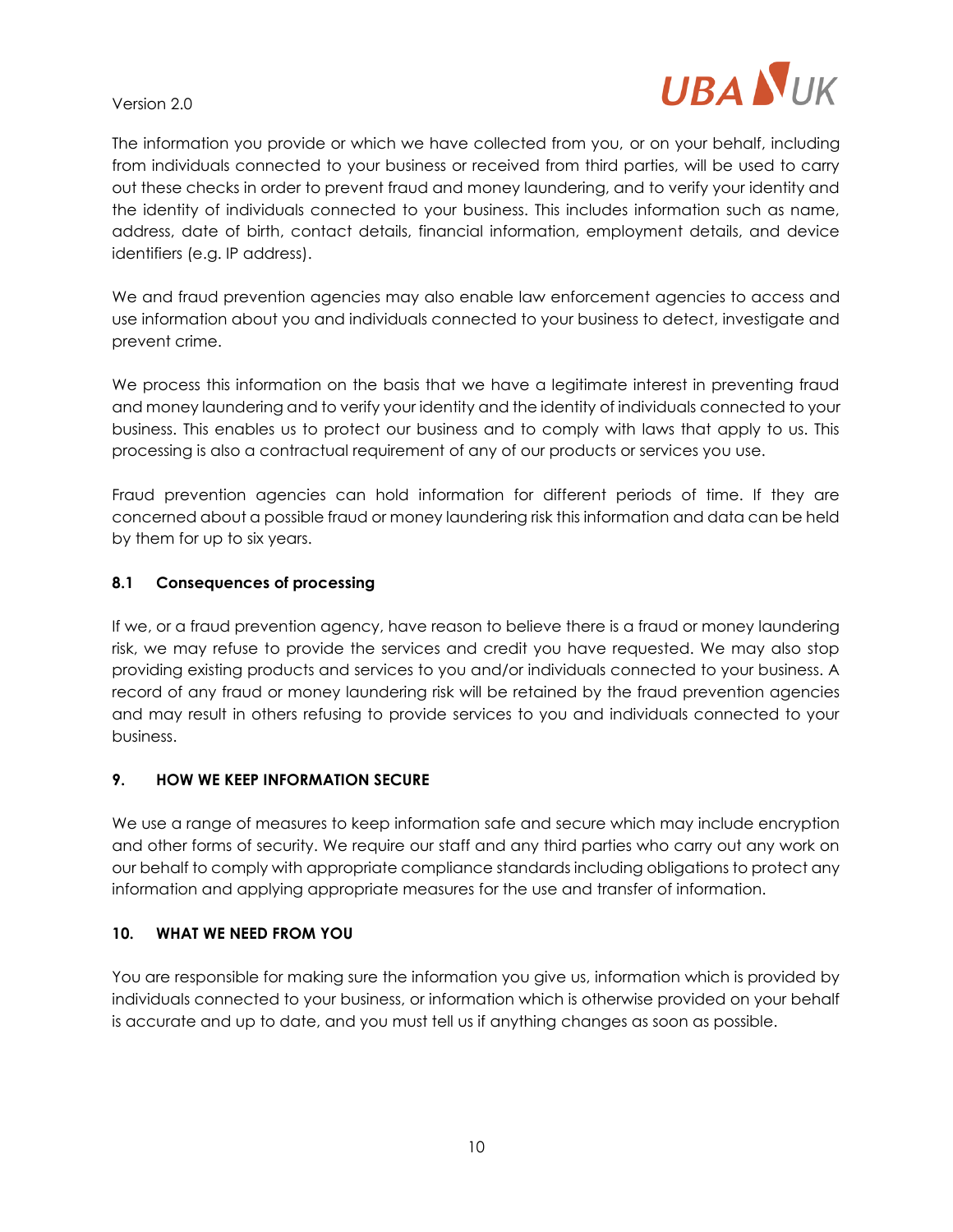

The information you provide or which we have collected from you, or on your behalf, including from individuals connected to your business or received from third parties, will be used to carry out these checks in order to prevent fraud and money laundering, and to verify your identity and the identity of individuals connected to your business. This includes information such as name, address, date of birth, contact details, financial information, employment details, and device identifiers (e.g. IP address).

We and fraud prevention agencies may also enable law enforcement agencies to access and use information about you and individuals connected to your business to detect, investigate and prevent crime.

We process this information on the basis that we have a legitimate interest in preventing fraud and money laundering and to verify your identity and the identity of individuals connected to your business. This enables us to protect our business and to comply with laws that apply to us. This processing is also a contractual requirement of any of our products or services you use.

Fraud prevention agencies can hold information for different periods of time. If they are concerned about a possible fraud or money laundering risk this information and data can be held by them for up to six years.

#### **8.1 Consequences of processing**

If we, or a fraud prevention agency, have reason to believe there is a fraud or money laundering risk, we may refuse to provide the services and credit you have requested. We may also stop providing existing products and services to you and/or individuals connected to your business. A record of any fraud or money laundering risk will be retained by the fraud prevention agencies and may result in others refusing to provide services to you and individuals connected to your business.

#### **9. HOW WE KEEP INFORMATION SECURE**

We use a range of measures to keep information safe and secure which may include encryption and other forms of security. We require our staff and any third parties who carry out any work on our behalf to comply with appropriate compliance standards including obligations to protect any information and applying appropriate measures for the use and transfer of information.

#### **10. WHAT WE NEED FROM YOU**

You are responsible for making sure the information you give us, information which is provided by individuals connected to your business, or information which is otherwise provided on your behalf is accurate and up to date, and you must tell us if anything changes as soon as possible.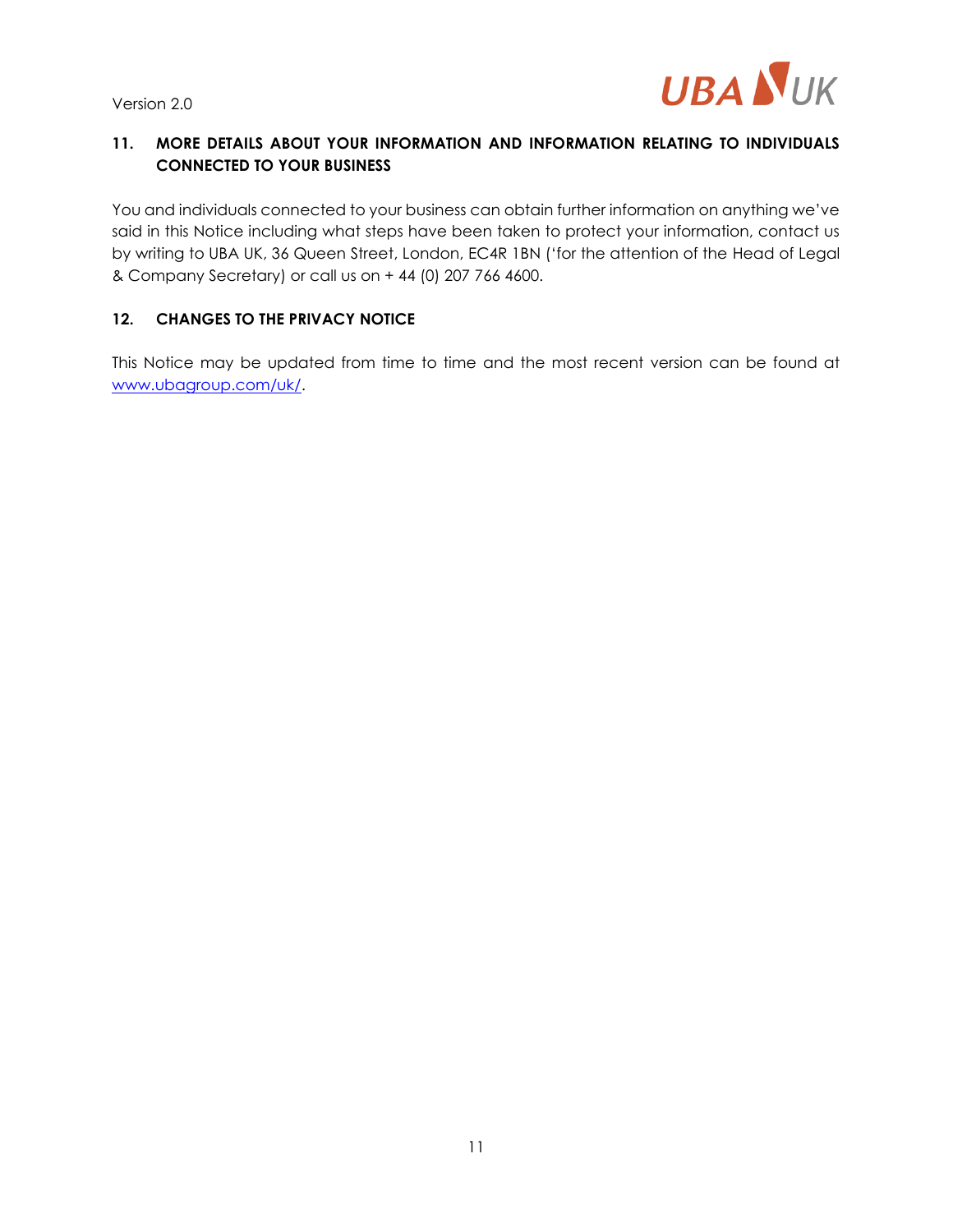

# **11. MORE DETAILS ABOUT YOUR INFORMATION AND INFORMATION RELATING TO INDIVIDUALS CONNECTED TO YOUR BUSINESS**

You and individuals connected to your business can obtain further information on anything we've said in this Notice including what steps have been taken to protect your information, contact us by writing to UBA UK, 36 Queen Street, London, EC4R 1BN ('for the attention of the Head of Legal & Company Secretary) or call us on + 44 (0) 207 766 4600.

#### **12. CHANGES TO THE PRIVACY NOTICE**

This Notice may be updated from time to time and the most recent version can be found at [www.ubagroup.com/uk/.](http://www.ubagroup.com/uk/)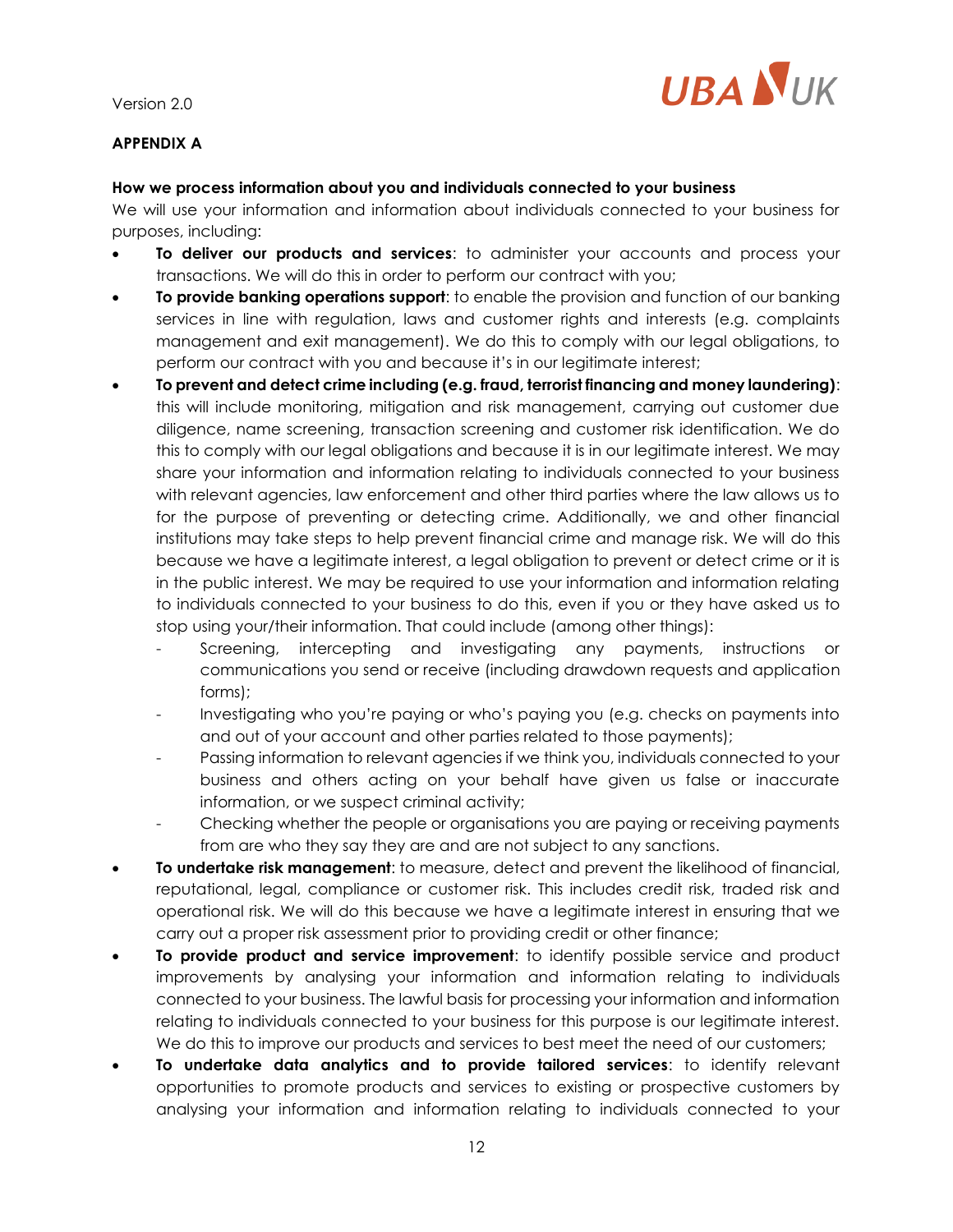

# **APPENDIX A**

### **How we process information about you and individuals connected to your business**

We will use your information and information about individuals connected to your business for purposes, including:

- **To deliver our products and services**: to administer your accounts and process your transactions. We will do this in order to perform our contract with you;
- **To provide banking operations support**: to enable the provision and function of our banking services in line with regulation, laws and customer rights and interests (e.g. complaints management and exit management). We do this to comply with our legal obligations, to perform our contract with you and because it's in our legitimate interest;
- **To prevent and detect crime including (e.g. fraud, terrorist financing and money laundering)**: this will include monitoring, mitigation and risk management, carrying out customer due diligence, name screening, transaction screening and customer risk identification. We do this to comply with our legal obligations and because it is in our legitimate interest. We may share your information and information relating to individuals connected to your business with relevant agencies, law enforcement and other third parties where the law allows us to for the purpose of preventing or detecting crime. Additionally, we and other financial institutions may take steps to help prevent financial crime and manage risk. We will do this because we have a legitimate interest, a legal obligation to prevent or detect crime or it is in the public interest. We may be required to use your information and information relating to individuals connected to your business to do this, even if you or they have asked us to stop using your/their information. That could include (among other things):
	- Screening, intercepting and investigating any payments, instructions or communications you send or receive (including drawdown requests and application forms);
	- Investigating who you're paying or who's paying you (e.g. checks on payments into and out of your account and other parties related to those payments);
	- Passing information to relevant agencies if we think you, individuals connected to your business and others acting on your behalf have given us false or inaccurate information, or we suspect criminal activity;
	- Checking whether the people or organisations you are paying or receiving payments from are who they say they are and are not subject to any sanctions.
- **To undertake risk management**: to measure, detect and prevent the likelihood of financial, reputational, legal, compliance or customer risk. This includes credit risk, traded risk and operational risk. We will do this because we have a legitimate interest in ensuring that we carry out a proper risk assessment prior to providing credit or other finance;
- **To provide product and service improvement**: to identify possible service and product improvements by analysing your information and information relating to individuals connected to your business. The lawful basis for processing your information and information relating to individuals connected to your business for this purpose is our legitimate interest. We do this to improve our products and services to best meet the need of our customers;
- **To undertake data analytics and to provide tailored services**: to identify relevant opportunities to promote products and services to existing or prospective customers by analysing your information and information relating to individuals connected to your